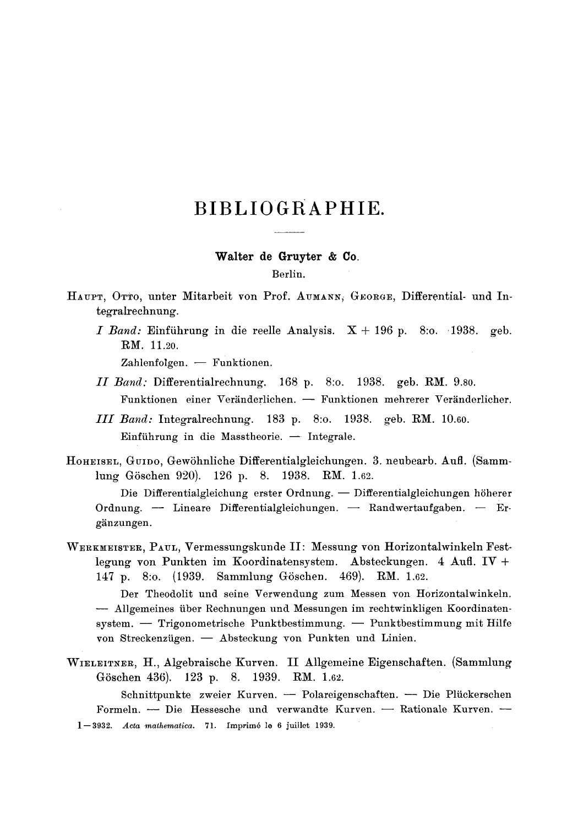# **BIBLIOGRAPHIE.**

# Walter **de Gruyter** & Co.

## Berlin.

HAUPT, OTTO, unter Mitarbeit von Prof. AUMANN, GEORGE, Differential- und Integralrechnung.

*I Band:* Einfiihrung in die reelle Analysis. X + 196 p. 8:o. 1938. geb. RM. 11.20.

 $Zahlenfolgen. -Funktionen.$ 

- *II Band:* Differentialrechnung. 168 p. 8:o. 1938. geb. RNI. 9.80. Funktionen einer Veränderlichen. - Funktionen mehrerer Veränderlicher.
- *II[ Band:* Integralrechnung. 183 p. 8:o. 1938. geb. RM. 10.60. Einführung in die Masstheorie.  $-$  Integrale.
- HOHEISEL, GUIDO, GewShnliche Differentialgleichungen. 3. neubearb. Aufl. (Sammlung Göschen 920). 126 p. 8. 1938. RM. 1.62.

Die Differentialgleichung erster Ordnung. - Differentialgleichungen höherer Ordnung. -- Lineare Differentialgleichungen. -- Randwertaufgaben. -- Ergänzungen.

WERKMEISTER, PAUL, Vermessungskunde II: Messung yon Horizontalwinkeln Festlegung yon Punkten im Koordinatensystem. Absteckungen. 4 Aufl. IV + 147 p. 8:0. (1939. Sammlung Göschen. 469). RM. 1.62.

Der Theodolit und seine Verwendung zum Messen yon Horizontalwinkeln. -- Allgemeines über Rechnungen und Messungen im rechtwinkligen Koordinatensystem. -- Trigonometrische Punktbestimmung. -- Punktbestimmung mit Hilfe von Streckenzügen. - Absteckung von Punkten und Linien.

WIELEITNER, H., Algebraische Kurven. II Allgemeine Eigenschaften. (Sammlung Göschen 436). 123 p. 8. 1939. RM. 1.62.

Schnittpunkte zweier Kurven. - Polareigenschaften. - Die Plückerschen Formeln. -- Die Hessesche und verwandte Kurven. -- Rationale Kurven. --1--3932. *Acta mathematica.* 71. [mprim6 le 6 juillet 1939.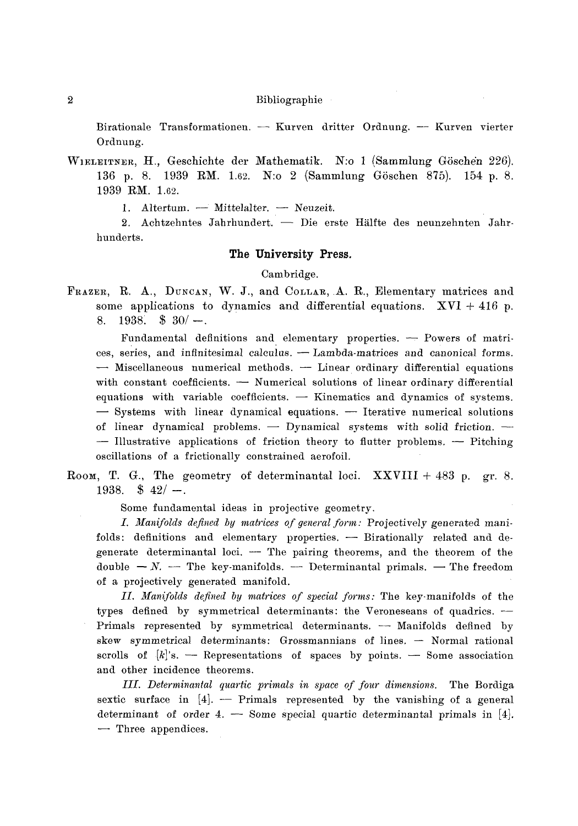Birationale Transformationen. -- Kurven dritter Ordnung. -- Kurven vierter Ordnung.

WIELEITNER, H., Geschichte der Mathematik. N:o 1 (Sammlung Göschen 226). 136 p. 8. 1939 RM. 1.62. N:o 2 (Sammlung Göschen 875). 154 p. 8. 1939 RM. 1.62.

1. Altertum.  $-$  Mittelalter.  $-$  Neuzeit.

2. Achtzehntes Jahrhundert. - Die erste Hälfte des neunzehnten Jahrhunderts.

#### **The University Press.**

## Cambridge.

FRAZER, R. A., DUNCAN, W. J., and COLLAR, A. R., Elementary matrices and some applications to dynamics and differential equations.  $XVI + 416$  p. 8. 1938.  $\frac{1}{3}$  30/-.

Fundamental definitions and elementary properties.  $-$  Powers of matrices, series, and infinitesimal calculus. - Lambda-matrices and canonical forms. **--** Miscellaneous numerical methods. -- Linear ordinary differential equations with constant coefficients.  $-$  Numerical solutions of linear ordinary differential equations with variable coefficients.  $-$  Kinematics and dynamics of systems.  $-$  Systems with linear dynamical equations.  $-$  Iterative numerical solutions of linear dynamical problems.  $-$  Dynamical systems with solid friction.  $-$  Illustrative applications of friction theory to flutter problems.  $-$  Pitching oscillations of a frictionally constrained aerofoil.

ROOM, T. G., The geometry of determinantal loci.  $\bf XXVIII + 483$  p. gr. 8. 1938.  $\frac{6}{1938}$   $\frac{42}{1}$ .

Some fundamental ideas in projective geometry.

*L Manifolds defined by matrices of general form:* Projectively generated manifolds: definitions and elementary properties. - Birationally related and degenerate determinantal loci. -- The pairing theorems, and the theorem of the double  $-N$ . -- The key-manifolds. -- Determinantal primals. -- The freedom of a projectively generated manifold.

*II. Manifolds defined by matrices of special forms:* The key-manifolds of the types defined by symmetrical determinants: the Veroneseans of quadrics. -Primals represented by symmetrical determinants.  $-$  Manifolds defined by  $skew$  symmetrical determinants: Grossmannians of lines.  $-$  Normal rational scrolls of  $[k]$ 's. -- Representations of spaces by points. -- Some association and other incidence theorems.

*IIL Determinantal quartic primals in space of four dimensions.* The Bordiga sextic surface in [4]. -- Primals represented by the vanishing of a general determinant of order 4. -- Some special quartic determinantal primals in  $[4]$ . - Three appendices.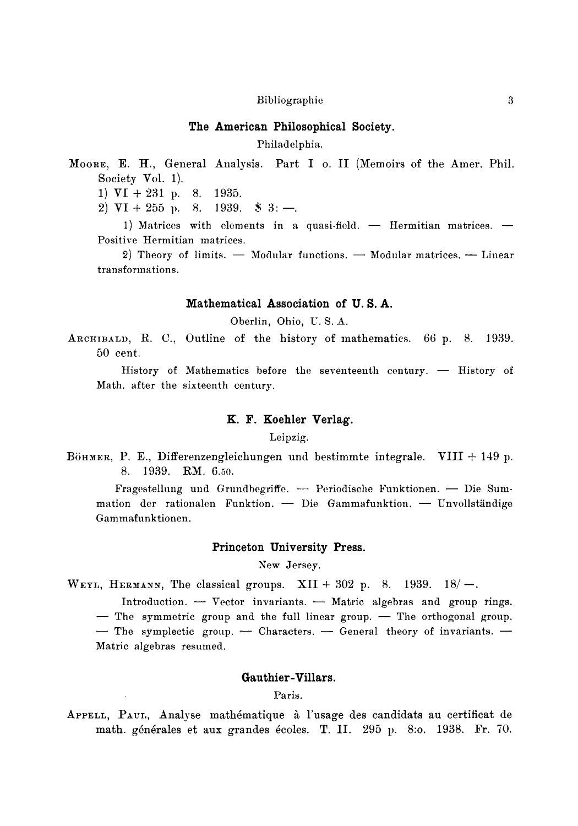## **The American Philosophical Society.**

Philadelphia.

MOORE, E. H., General Analysis. Part I o. II (Memoirs of the Amer. Phil. Society Vol. 1).

1) VI +231 p. 8. 1935.

2)  $VI + 255$  p. 8. 1939.  $\$ 3:$  -.

1) Matrices with elements in a quasi-field.  $-$  Hermitian matrices.  $-$ Positive Hermitian matrices.

2) Theory of limits.  $-$  Modular functions.  $-$  Modular matrices.  $-$  Linear transformations.

#### **Mathematical Association of U. S. A.**

Oberlin, Ohio, U. S. A.

ARCHIBALD, R. C., Outline of the history of mathematics. 66 p. 8. 1939. 50 cent.

History of Mathematics before the seventeenth century.  $-$  History of Math. after the sixteenth century.

# **K. F. Koehler Verlag.**

#### Leipzig.

Böhmer, P. E., Differenzengleichungen und bestimmte integrale. VIII  $+$  149 p. 8. 1939. RM. 6.50.

Fragestellung und Grundbegriffe. --- Periodische Funktionen. -- Die Summation der rationalen Funktion. - Die Gammafunktion. - Unvollständige Gammafunktionen.

## **Princeton University Press.**

New Jersey.

WEYL, HERMANN, The classical groups. XII + 302 p. 8. 1939.  $18/-$ .

Introduction.  $-$  Vector invariants.  $-$  Matric algebras and group rings.

 $-$  The symmetric group and the full linear group.  $-$  The orthogonal group.

 $-$  The symplectic group.  $-$  Characters.  $-$  General theory of invariants.  $-$ Matric algebras resumed.

# **Gauthier-Villars.**

# Paris.

APPELL, PAUL, Analyse mathématique à l'usage des candidats au certificat de math. générales et aux grandes écoles. T. II. 295 p. 8:0. 1938. Fr. 70.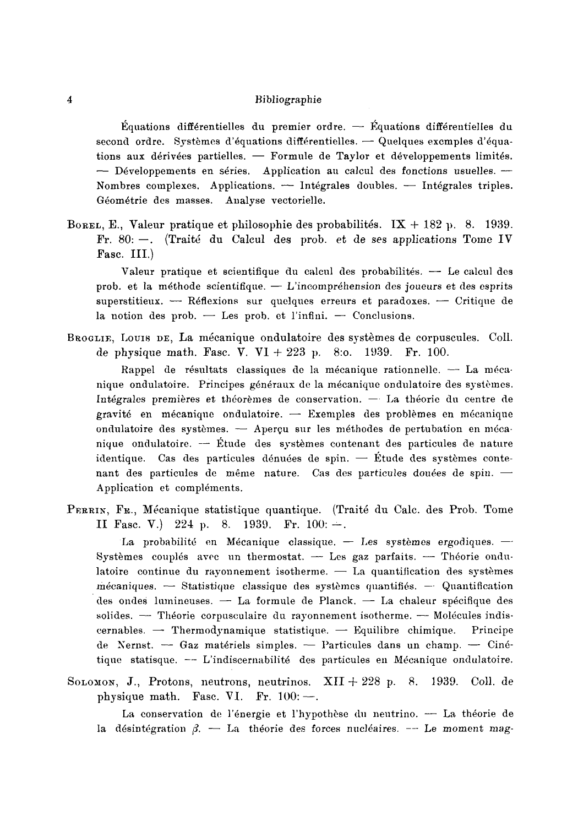$\mathring{E}_{\text{quations}}$  differentielles du premier ordre.  $\mathring{E}_{\text{quations}}$  differentielles du second ordre. Systèmes d'équations différentielles.  $-$  Quelques excmples d'équations aux dérivées partielles. -- Formule de Taylor et développements limités. - Développements en séries. Application au calcul des fonctions usuelles. -Nombres complexes. Applications.  $-$  Intégrales doubles.  $-$  Intégrales triples. Géométrie des masses. Analyse vectorielle.

BOREL, E., Valeur pratique et philosophie des probabilités.  $IX + 182$  p. 8. 1939. Fr. 80: $-$ . (Traité du Calcul des prob. et de ses applications Tome IV Fasc. III.)

Valeur pratique et scientifique du calcul des probabilités.  $-$  Le calcul des prob. et la méthode scientifique.  $-$  L'incompréhension des joueurs et des esprits superstitieux. -- Réflexions sur quelques erreurs et paradoxes. -- Critique de la notion des prob.  $-$  Les prob. et l'infini.  $-$  Conclusions.

BROGLIE, LOUIS DE, La mécanique ondulatoire des systèmes de corpuscules. Coll. de physique math. Fasc. V.  $VI + 223$  p. 8:0. 1939. Fr. 100.

Rappel de résultats classiques de la mécanique rationnelle.  $-$  La mécanique ondulatoire. Principes généraux de la mécanique ondulatoire des systèmes. Intégrales premières et théorèmes de conservation. - La théorie du centre de gravité en mécanique ondulatoire.  $-$  Exemples des problèmes en mécanique ondulatoire des systèmes. - Aperçu sur les méthodes de pertubation en mécanique ondulatoire. -- Étude des systèmes contenant des particules de nature identique. Cas des particules dénuées de spin.  $-$  Étude des systèmes contenant des particules de même nature. Cas des particules douées de spin. -Application et compléments.

PERRIN, FR., Mécanique statistique quantique. (Traité du Calc. des Prob. Tome II Fasc. V.) 224 p. 8. 1939. Fr.  $100: -1$ .

La probabilité en Mécanique classique.  $-$  Les systèmes ergodiques.  $-$ Systèmes couplés avec un thermostat.  $-$  Les gaz parfaits.  $-$  Théorie ondulatoire continue du rayonnement isotherme.  $-$  La quantification des systèmes  $m$ écaniques.  $\sim$  Statistique classique des systèmes quantifiés.  $\sim$  Quantification des ondes lumineuses. - La formule de Planck. - La chaleur spécifique des solides.  $-$  Théorie corpusculaire du rayonnement isotherme.  $-$  Molécules indis- $\alpha$  cernables.  $\rightarrow$  Thermodynamique statistique.  $\rightarrow$  Equilibre chimique. Principe de Nernst. -- Gaz matériels simples. -- Particules dans un champ. -- Cinétique statisque. -- L'indiscernabilité des particules en Mécanique ondulatoire.

SOLOMON, J., Protons, neutrons, neutrinos.  $XII + 228$  p. 8. 1939. Coll. de physique math. Fasc. VI. Fr.  $100:$  -

La conservation de l'énergie et l'hypothèse du neutrino. -- La théorie de la désintégration  $\beta$ . -- La théorie des forces nucléaires. -- Le moment mag-